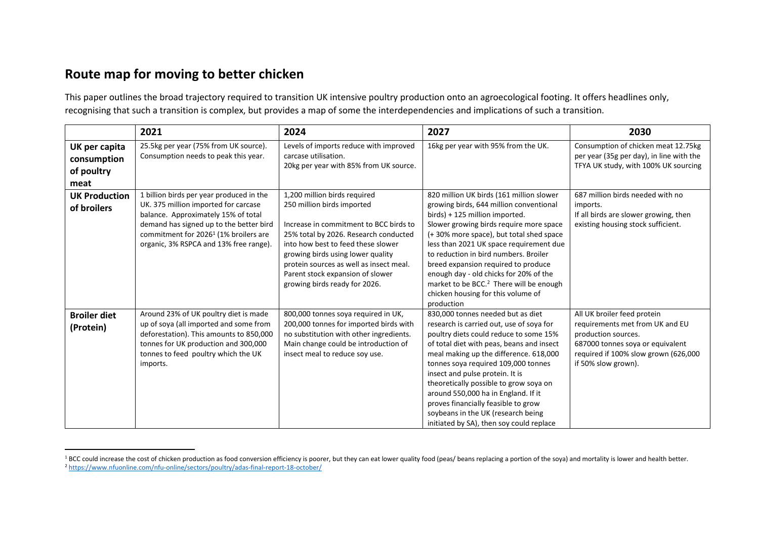## **Route map for moving to better chicken**

This paper outlines the broad trajectory required to transition UK intensive poultry production onto an agroecological footing. It offers headlines only, recognising that such a transition is complex, but provides a map of some the interdependencies and implications of such a transition.

|                                                    | 2021                                                                                                                                                                                                                                                             | 2024                                                                                                                                                                                                                                                                                                                                     | 2027                                                                                                                                                                                                                                                                                                                                                                                                                                                                                               | 2030                                                                                                                                                                                     |
|----------------------------------------------------|------------------------------------------------------------------------------------------------------------------------------------------------------------------------------------------------------------------------------------------------------------------|------------------------------------------------------------------------------------------------------------------------------------------------------------------------------------------------------------------------------------------------------------------------------------------------------------------------------------------|----------------------------------------------------------------------------------------------------------------------------------------------------------------------------------------------------------------------------------------------------------------------------------------------------------------------------------------------------------------------------------------------------------------------------------------------------------------------------------------------------|------------------------------------------------------------------------------------------------------------------------------------------------------------------------------------------|
| UK per capita<br>consumption<br>of poultry<br>meat | 25.5kg per year (75% from UK source).<br>Consumption needs to peak this year.                                                                                                                                                                                    | Levels of imports reduce with improved<br>carcase utilisation.<br>20kg per year with 85% from UK source.                                                                                                                                                                                                                                 | 16kg per year with 95% from the UK.                                                                                                                                                                                                                                                                                                                                                                                                                                                                | Consumption of chicken meat 12.75kg<br>per year (35g per day), in line with the<br>TFYA UK study, with 100% UK sourcing                                                                  |
| <b>UK Production</b><br>of broilers                | 1 billion birds per year produced in the<br>UK. 375 million imported for carcase<br>balance. Approximately 15% of total<br>demand has signed up to the better bird<br>commitment for 2026 <sup>1</sup> (1% broilers are<br>organic, 3% RSPCA and 13% free range) | 1,200 million birds required<br>250 million birds imported<br>Increase in commitment to BCC birds to<br>25% total by 2026. Research conducted<br>into how best to feed these slower<br>growing birds using lower quality<br>protein sources as well as insect meal.<br>Parent stock expansion of slower<br>growing birds ready for 2026. | 820 million UK birds (161 million slower<br>growing birds, 644 million conventional<br>birds) + 125 million imported.<br>Slower growing birds require more space<br>(+30% more space), but total shed space<br>less than 2021 UK space requirement due<br>to reduction in bird numbers. Broiler<br>breed expansion required to produce<br>enough day - old chicks for 20% of the<br>market to be BCC. <sup>2</sup> There will be enough<br>chicken housing for this volume of<br>production        | 687 million birds needed with no<br>imports.<br>If all birds are slower growing, then<br>existing housing stock sufficient.                                                              |
| <b>Broiler diet</b><br>(Protein)                   | Around 23% of UK poultry diet is made<br>up of soya (all imported and some from<br>deforestation). This amounts to 850,000<br>tonnes for UK production and 300,000<br>tonnes to feed poultry which the UK<br>imports.                                            | 800,000 tonnes soya required in UK,<br>200,000 tonnes for imported birds with<br>no substitution with other ingredients.<br>Main change could be introduction of<br>insect meal to reduce soy use.                                                                                                                                       | 830,000 tonnes needed but as diet<br>research is carried out, use of soya for<br>poultry diets could reduce to some 15%<br>of total diet with peas, beans and insect<br>meal making up the difference. 618,000<br>tonnes soya required 109,000 tonnes<br>insect and pulse protein. It is<br>theoretically possible to grow soya on<br>around 550,000 ha in England. If it<br>proves financially feasible to grow<br>soybeans in the UK (research being<br>initiated by SA), then soy could replace | All UK broiler feed protein<br>requirements met from UK and EU<br>production sources.<br>687000 tonnes soya or equivalent<br>required if 100% slow grown (626,000<br>if 50% slow grown). |

<sup>&</sup>lt;sup>1</sup> BCC could increase the cost of chicken production as food conversion efficiency is poorer, but they can eat lower quality food (peas/ beans replacing a portion of the soya) and mortality is lower and health better. <sup>2</sup> <https://www.nfuonline.com/nfu-online/sectors/poultry/adas-final-report-18-october/>